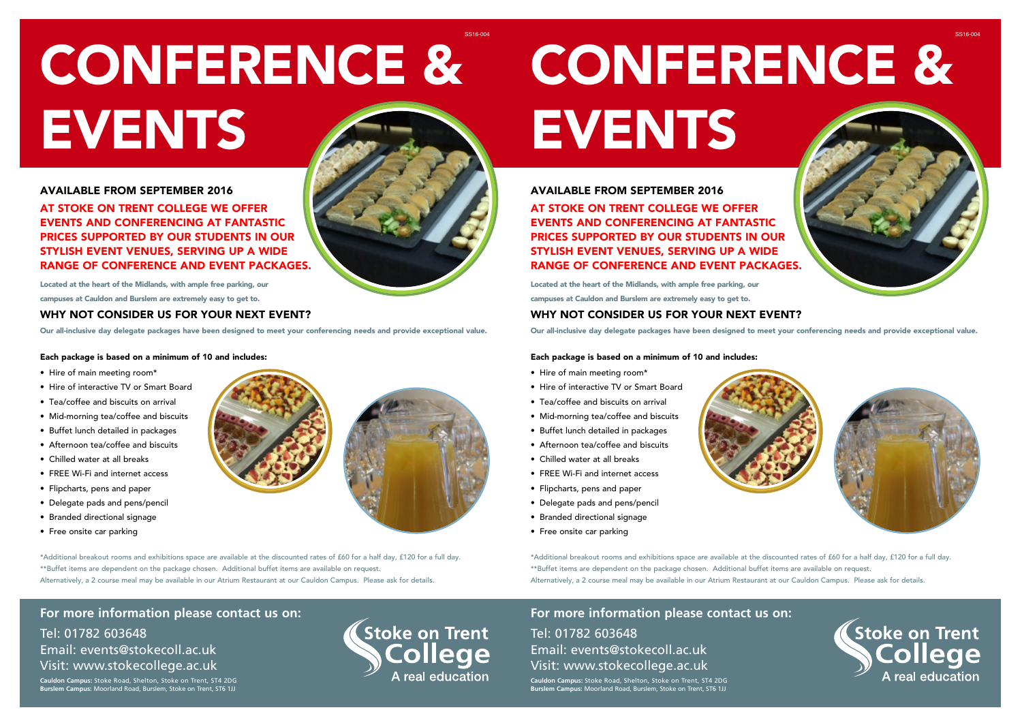# CONFERENCE & EVENTS

# AVAILABLE FROM SEPTEMBER 2016 AT STOKE ON TRENT COLLEGE WE OFFER EVENTS AND CONFERENCING AT FANTASTIC PRICES SUPPORTED BY OUR STUDENTS IN OUR STYLISH EVENT VENUES, SERVING UP A WIDE RANGE OF CONFERENCE AND EVENT PACKAGES.

Located at the heart of the Midlands, with ample free parking, our

campuses at Cauldon and Burslem are extremely easy to get to.

## WHY NOT CONSIDER US FOR YOUR NEXT EVENT?

Our all-inclusive day delegate packages have been designed to meet your conferencing needs and provide exceptional value.

#### Each package is based on a minimum of 10 and includes:

- Hire of main meeting room\*
- Hire of interactive TV or Smart Board
- Tea/coffee and biscuits on arrival
- Mid-morning tea/coffee and biscuits
- Buffet lunch detailed in packages
- Afternoon tea/coffee and biscuits
- Chilled water at all breaks
- FREE Wi-Fi and internet access
- Flipcharts, pens and paper
- Delegate pads and pens/pencil
- Branded directional signage
- Free onsite car parking



\*Additional breakout rooms and exhibitions space are available at the discounted rates of £60 for a half day, £120 for a full day. \*\*Buffet items are dependent on the package chosen. Additional buffet items are available on request. Alternatively, a 2 course meal may be available in our Atrium Restaurant at our Cauldon Campus. Please ask for details.

**For more information please contact us on:** Tel: 01782 603648 Email: events@stokecoll.ac.uk Visit: www.stokecollege.ac.uk

**Cauldon Campus:** Stoke Road, Shelton, Stoke on Trent, ST4 2DG **Burslem Campus:** Moorland Road, Burslem, Stoke on Trent, ST6 1JJ